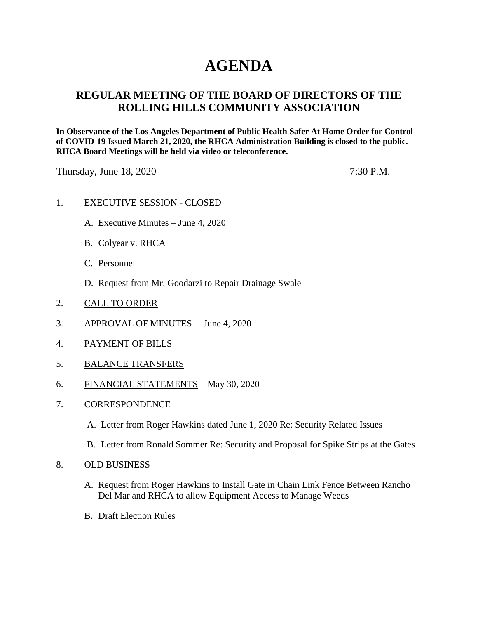# **AGENDA**

## **REGULAR MEETING OF THE BOARD OF DIRECTORS OF THE ROLLING HILLS COMMUNITY ASSOCIATION**

**In Observance of the Los Angeles Department of Public Health Safer At Home Order for Control of COVID-19 Issued March 21, 2020, the RHCA Administration Building is closed to the public. RHCA Board Meetings will be held via video or teleconference.** 

Thursday, June 18, 2020 7:30 P.M.

#### 1. EXECUTIVE SESSION - CLOSED

- A. Executive Minutes June 4, 2020
- B. Colyear v. RHCA
- C. Personnel
- D. Request from Mr. Goodarzi to Repair Drainage Swale
- 2. CALL TO ORDER
- 3. APPROVAL OF MINUTES June 4, 2020
- 4. PAYMENT OF BILLS
- 5. BALANCE TRANSFERS
- 6. FINANCIAL STATEMENTS May 30, 2020
- 7. CORRESPONDENCE
	- A. Letter from Roger Hawkins dated June 1, 2020 Re: Security Related Issues
	- B. Letter from Ronald Sommer Re: Security and Proposal for Spike Strips at the Gates

#### 8. OLD BUSINESS

- A. Request from Roger Hawkins to Install Gate in Chain Link Fence Between Rancho Del Mar and RHCA to allow Equipment Access to Manage Weeds
- B. Draft Election Rules